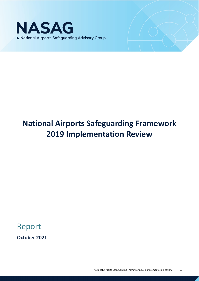

# **National Airports Safeguarding Framework 2019 Implementation Review**

# Report

**October 2021**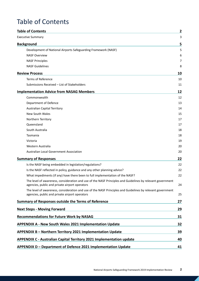# <span id="page-1-0"></span>Table of Contents

| <b>Table of Contents</b>                                                                                                                                     | 2  |
|--------------------------------------------------------------------------------------------------------------------------------------------------------------|----|
| <b>Executive Summary</b>                                                                                                                                     | 3  |
| <b>Background</b>                                                                                                                                            | 5  |
| Development of National Airports Safeguarding Framework (NASF)                                                                                               | 5  |
| <b>NASF Overview</b>                                                                                                                                         | 6  |
| <b>NASF Principles</b>                                                                                                                                       | 7  |
| <b>NASF Guidelines</b>                                                                                                                                       | 8  |
| <b>Review Process</b>                                                                                                                                        | 10 |
| Terms of Reference                                                                                                                                           | 10 |
| Submissions Received - List of Stakeholders                                                                                                                  | 11 |
| <b>Implementation Advice from NASAG Members</b>                                                                                                              | 12 |
| Commonwealth                                                                                                                                                 | 12 |
| Department of Defence                                                                                                                                        | 13 |
| <b>Australian Capital Territory</b>                                                                                                                          | 14 |
| New South Wales                                                                                                                                              | 15 |
| Northern Territory                                                                                                                                           | 17 |
| Oueensland                                                                                                                                                   | 17 |
| South Australia                                                                                                                                              | 18 |
| Tasmania                                                                                                                                                     | 18 |
| Victoria                                                                                                                                                     | 19 |
| Western Australia                                                                                                                                            | 20 |
| Australian Local Government Association                                                                                                                      | 20 |
| <b>Summary of Responses</b>                                                                                                                                  | 22 |
| Is the NASF being embedded in legislation/regulations?                                                                                                       | 22 |
| Is the NASF reflected in policy, guidance and any other planning advice?                                                                                     | 22 |
| What impediments (if any) have there been to full implementation of the NASF?                                                                                | 22 |
| The level of awareness, consideration and use of the NASF Principles and Guidelines by relevant government<br>agencies, public and private airport operators | 24 |
| The level of awareness, consideration and use of the NASF Principles and Guidelines by relevant government<br>agencies, public and private airport operators | 25 |
| Summary of Responses outside the Terms of Reference                                                                                                          | 27 |
| <b>Next Steps - Moving Forward</b>                                                                                                                           | 29 |
| <b>Recommendations for Future Work by NASAG</b>                                                                                                              | 31 |
| <b>APPENDIX A - New South Wales 2021 Implementation Update</b>                                                                                               | 32 |
| APPENDIX B - Northern Territory 2021 Implementation Update                                                                                                   | 39 |
| <b>APPENDIX C - Australian Capital Territory 2021 Implementation update</b>                                                                                  | 40 |
| APPENDIX D - Department of Defence 2021 Implementation Update                                                                                                | 41 |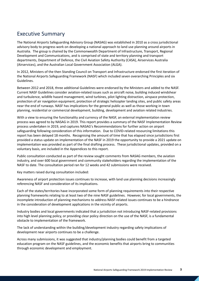# <span id="page-2-0"></span>Executive Summary

The National Airports Safeguarding Advisory Group (NASAG) was established in 2010 as a cross jurisdictional advisory body to progress work on developing a national approach to land use planning around airports in Australia. The group is chaired by the Commonwealth Department of Infrastructure, Transport, Regional Development and Communications, and is comprised of state and territory planning and transport departments, Department of Defence, the Civil Aviation Safety Authority (CASA), Airservices Australia (Airservices), and the Australian Local Government Association (ALGA).

In 2012, Ministers of the then Standing Council on Transport and Infrastructure endorsed the first iteration of the National Airports Safeguarding Framework (NASF) which included seven overarching Principles and six Guidelines.

Between 2012 and 2018, three additional Guidelines were endorsed by the Ministers and added to the NASF. Current NASF Guidelines consider aviation-related issues such as aircraft noise, building induced windshear and turbulence, wildlife hazard management, wind turbines, pilot lighting distraction, airspace protection, protection of air navigation equipment, protection of strategic helicopter landing sites, and public safety areas near the end of runways. NASF has implications for the general public as well as those working in town planning, residential or commercial development, building, development and aviation related industries.

With a view to ensuring the functionality and currency of the NASF, an external implementation review process was agreed to by NASAG in 2019. This report provides a summary of the NASF Implementation Review process undertaken in 2019, and captures NASAG's Recommendations for further action on airport safeguarding following consideration of this information. Due to COVID-related resourcing limitations this report has been delayed 18 months. Recognising the amount of time that has elapsed since jurisdictions first provided a status update on implementation of the NASF in 2019 the opportunity to provide a 2021 update on implementation was provided as part of the final drafting process. These jurisdictional updates, provided on a voluntary basis, are included in the Appendices to this report.

Public consultation conducted as part of the review sought comments from NASAG members, the aviation industry, and over 600 local government and community stakeholders regarding the implementation of the NASF to date. The consultation period ran for 12 weeks and 42 submissions were received.

Key matters raised during consultation included:

Awareness of airport protection issues continues to increase, with land use planning decisions increasingly referencing NASF and consideration of its implications.

Each of the states/territories have incorporated some form of planning requirements into their respective planning frameworks relating to at least two of the nine NASF guidelines. However, for local governments, the incomplete introduction of planning mechanisms to address NASF-related issues continues to be a hindrance in the consideration of development applications in the vicinity of airports.

Industry bodies and local governments indicated that a jurisdiction not introducing NASF-related provisions into high level planning policy, or providing clear policy direction on the use of the NASF, is a fundamental obstacle to implementation of the framework.

The lack of understanding within the building/development industry regarding safety implications of development near airports continues to be a challenge.

Across many submissions, it was suggested that industry/planning bodies could benefit from a targeted education program on the NASF guidelines, and the economic benefits that airports bring to communities through economic development and employment.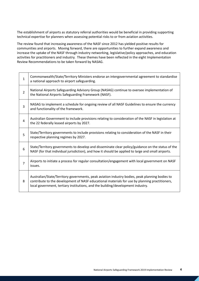The establishment of airports as statutory referral authorities would be beneficial in providing supporting technical expertise for planners when assessing potential risks to or from aviation activities.

The review found that increasing awareness of the NASF since 2012 has yielded positive results for communities and airports. Moving forward, there are opportunities to further expand awareness and increase the uptake of the NASF through industry networking, legislative/policy approaches, and education activities for practitioners and industry. These themes have been reflected in the eight Implementation Review Recommendations to be taken forward by NASAG.

| $\mathbf{1}$   | Commonwealth/State/Territory Ministers endorse an intergovernmental agreement to standardise<br>a national approach to airport safeguarding.                                                                                                                                        |
|----------------|-------------------------------------------------------------------------------------------------------------------------------------------------------------------------------------------------------------------------------------------------------------------------------------|
| $\overline{2}$ | National Airports Safeguarding Advisory Group (NASAG) continue to oversee implementation of<br>the National Airports Safeguarding Framework (NASF).                                                                                                                                 |
| 3              | NASAG to implement a schedule for ongoing review of all NASF Guidelines to ensure the currency<br>and functionality of the framework.                                                                                                                                               |
| 4              | Australian Government to include provisions relating to consideration of the NASF in legislation at<br>the 22 federally leased airports by 2027.                                                                                                                                    |
| 5              | State/Territory governments to include provisions relating to consideration of the NASF in their<br>respective planning regimes by 2027.                                                                                                                                            |
| 6              | State/Territory governments to develop and disseminate clear policy/guidance on the status of the<br>NASF (for that individual jurisdiction), and how it should be applied to large and small airports.                                                                             |
| $\overline{7}$ | Airports to initiate a process for regular consultation/engagement with local government on NASF<br>issues.                                                                                                                                                                         |
| 8              | Australian/State/Territory governments, peak aviation industry bodies, peak planning bodies to<br>contribute to the development of NASF educational materials for use by planning practitioners,<br>local government, tertiary institutions, and the building/development industry. |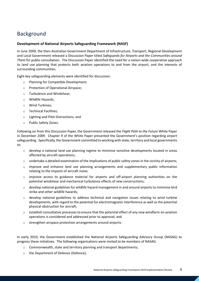# <span id="page-4-0"></span>Background

### <span id="page-4-1"></span>**Development of National Airports Safeguarding Framework (NASF)**

In June 2009, the then-Australian Government Department of Infrastructure, Transport, Regional Development and Local Government released a Discussion Paper titled *Safeguards for Airports and the Communities around Them* for public consultation. The Discussion Paper identified the need for a nation-wide cooperative approach to land use planning that protects both aviation operations to and from the airport, and the interests of surrounding communities.

Eight key safeguarding elements were identified for discussion:

- o Planning for Compatible Development;
- o Protection of Operational Airspace;
- o Turbulence and Windshear;
- o Wildlife Hazards;
- o Wind Turbines;
- o Technical Facilities;
- o Lighting and Pilot Distractions; and
- o Public Safety Zones.

Following on from this Discussion Paper, the Government released the *Flight Path to the Future* White Paper in December 2009. Chapter 9 of the White Paper presented the Government's position regarding airport safeguarding. Specifically, the Government committed to working with state, territory and local governments to:

- $\circ$  develop a national land use planning regime to minimise sensitive developments located in areas affected by aircraft operations;
- $\circ$  undertake a detailed examination of the implications of public safety zones in the vicinity of airports;
- $\circ$  improve and enhance land use planning arrangements and supplementary public information relating to the impacts of aircraft noise;
- $\circ$  improve access to guidance material for airports and off-airport planning authorities on the potential windshear and mechanical turbulence effects of new constructions;
- $\circ$  develop national guidelines for wildlife hazard management in and around airports to minimise bird strike and other wildlife hazards;
- $\circ$  develop national guidelines to address technical and navigation issues relating to wind turbine developments, with regard to the potential for electromagnetic interference as well as the potential physical obstruction for aircraft;
- $\circ$  establish consultative processes to ensure that the potential effect of any new windfarm on aviation operations is considered and addressed prior to approval; and
- o strengthen airspace protection arrangements around airports.

In early 2010, the Government established the National Airports Safeguarding Advisory Group (NASAG) to progress these initiatives. The following organisations were invited to be members of NASAG:

- o Commonwealth, state and territory planning and transport departments;
- o the Department of Defence (Defence);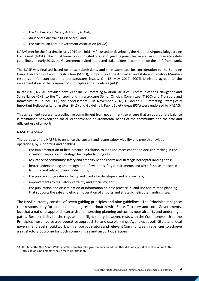- o the Civil Aviation Safety Authority (CASA);
- o Airservices Australia (Airservices); and
- o the Australian Local Government Association (ALGA).

NASAG met for the first time in May 2010 and initially focussed on developing the National Airports Safeguarding Framework (NASF). The initial framework consisted of a set of guiding principles, as well as six noise and safety guidelines. In early 2012, the Government invited interested stakeholders to comment on the draft framework.

The NASF was finalised based on these submissions, and then submitted for consideration to the Standing Council on Transport and Infrastructure (SCOTI), comprising of the Australian and state and territory Ministers responsible for transport and infrastructure issues. On 18 May 2012, SCOTI Ministers agreed to the implementation of the Framework's Principles and Guidelines (A-F)[1](#page-5-1).

In late 2016, NASAG provided new Guideline G: Protecting Aviation Facilities—Communications, Navigation and Surveillance (CNS) to the Transport and Infrastructure Senior Officials Committee (TISOC) and Transport and Infrastructure Council (TIC) for endorsement. In November 2018, Guideline H: Protecting Strategically Important Helicopter Landing sites (SHLS) and Guideline I: Public Safety Areas (PSA) were endorsed by NASAG.

This agreement represents a collective commitment from governments to ensure that an appropriate balance is maintained between the social, economic and environmental needs of the community, and the safe and efficient use of airports.

### <span id="page-5-0"></span>**NASF Overview**

----------

The purpose of the NASF is to enhance the current and future safety, viability and growth of aviation operations, by supporting and enabling:

- $\circ$  the implementation of best practice in relation to land use assessment and decision making in the vicinity of airports and strategic helicopter landing sites;
- o assurance of community safety and amenity near airports and strategic helicopter landing sites;
- o better understanding and recognition of aviation safety requirements and aircraft noise impacts in land use and related planning decisions;
- $\circ$  the provision of greater certainty and clarity for developers and land owners;
- o improvements to regulatory certainty and efficiency; and
- o the publication and dissemination of information on best practice in land use and related planning that supports the safe and efficient operation of airports and strategic helicopter landing sites.

The NASF currently consists of seven guiding principles and nine guidelines. The Principles recognise that responsibility for land use planning rests primarily with State, Territory and Local Governments, but that a national approach can assist in improving planning outcomes near airports and under flight paths. Responsibility for the regulation of flight safety, however, rests with the Commonwealth so the Principles must involve a co-operative approach to land use planning. Agencies at both State and local government level should work with airport operators and relevant Commonwealth agencies to achieve a satisfactory outcome for both communities and airport operations.

<span id="page-5-1"></span> $1$  At this time, the New South Wales and Western Australia governments noted that they did not support Guideline A due to the inclusion of supplementary noise metric information.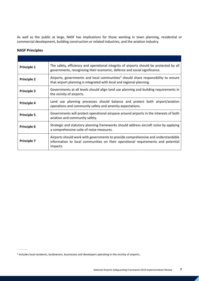As well as the public at large, NASF has implications for those working in town planning, residential or commercial development, building construction or related industries, and the aviation industry.

### <span id="page-6-0"></span>**NASF Principles**

----------

| Principle 1        | The safety, efficiency and operational integrity of airports should be protected by all<br>governments, recognising their economic, defence and social significance.              |
|--------------------|-----------------------------------------------------------------------------------------------------------------------------------------------------------------------------------|
| <b>Principle 2</b> | Airports, governments and local communities <sup>2</sup> should share responsibility to ensure<br>that airport planning is integrated with local and regional planning.           |
| <b>Principle 3</b> | Governments at all levels should align land use planning and building requirements in<br>the vicinity of airports.                                                                |
| <b>Principle 4</b> | Land use planning processes should balance and protect both airport/aviation<br>operations and community safety and amenity expectations.                                         |
| <b>Principle 5</b> | Governments will protect operational airspace around airports in the interests of both<br>aviation and community safety.                                                          |
| <b>Principle 6</b> | Strategic and statutory planning frameworks should address aircraft noise by applying<br>a comprehensive suite of noise measures.                                                 |
| <b>Principle 7</b> | Airports should work with governments to provide comprehensive and understandable<br>information to local communities on their operational requirements and potential<br>impacts. |

<span id="page-6-1"></span><sup>2</sup> Includes local residents, landowners, businesses and developers operating in the vicinity of airports.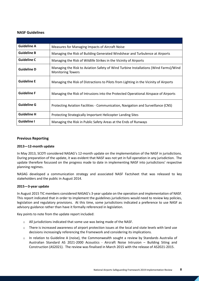### <span id="page-7-0"></span>**NASF Guidelines**

| <b>Guideline A</b> | Measures for Managing Impacts of Aircraft Noise                                                                  |
|--------------------|------------------------------------------------------------------------------------------------------------------|
| <b>Guideline B</b> | Managing the Risk of Building Generated Windshear and Turbulence at Airports                                     |
| <b>Guideline C</b> | Managing the Risk of Wildlife Strikes in the Vicinity of Airports                                                |
| <b>Guideline D</b> | Managing the Risk to Aviation Safety of Wind Turbine Installations (Wind Farms)/Wind<br><b>Monitoring Towers</b> |
| <b>Guideline E</b> | Managing the Risk of Distractions to Pilots from Lighting in the Vicinity of Airports                            |
| <b>Guideline F</b> | Managing the Risk of Intrusions into the Protected Operational Airspace of Airports                              |
| <b>Guideline G</b> | Protecting Aviation Facilities - Communication, Navigation and Surveillance (CNS)                                |
| <b>Guideline H</b> | Protecting Strategically Important Helicopter Landing Sites                                                      |
| <b>Guideline I</b> | Managing the Risk in Public Safety Areas at the Ends of Runways                                                  |

### **Previous Reporting**

#### **2013—12-month update**

In May 2013, SCOTI considered NASAG's 12-month update on the implementation of the NASF in jurisdictions. During preparation of the update, it was evident that NASF was not yet in full operation in any jurisdiction. The update therefore focussed on the progress made to date in implementing NASF into jurisdictions' respective planning regimes.

NASAG developed a communication strategy and associated NASF Factsheet that was released to key stakeholders and the public in August 2014.

#### **2015—3-year update**

In August 2015 TIC members considered NASAG's 3-year update on the operation and implementation of NASF. This report indicated that in order to implement the guidelines jurisdictions would need to review key policies, legislation and regulatory provisions. At this time, some jurisdictions indicated a preference to use NASF as advisory guidance rather than have it formally referenced in legislation.

Key points to note from the update report included:

- o All jurisdictions indicated that some use was being made of the NASF.
- $\circ$  There is increased awareness of airport protection issues at the local and state levels with land use decisions increasingly referencing the Framework and considering its implications.
- o In relation to Guideline A (noise), the Commonwealth sought a review by Standards Australia of Australian Standard AS 2021-2000 Acoustics - Aircraft Noise Intrusion – Building Siting and Construction (AS2021). The review was finalised in March 2015 with the release of AS2021-2015.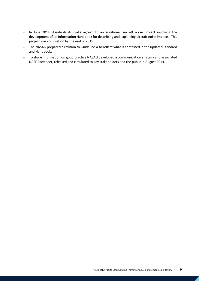- o In June 2014 Standards Australia agreed to an additional aircraft noise project involving the development of an Information Handbook for describing and explaining aircraft noise impacts. This project was completion by the end of 2015.
- o The NASAG prepared a revision to Guideline A to reflect what is contained in the updated Standard and Handbook.
- o To share information on good practice NASAG developed a communication strategy and associated NASF Factsheet, released and circulated to key stakeholders and the public in August 2014.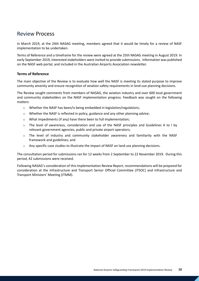## <span id="page-9-0"></span>Review Process

In March 2019, at the 24th NASAG meeting, members agreed that it would be timely for a review of NASF implementation to be undertaken.

Terms of Reference and a timeframe for the review were agreed at the 25th NASAG meeting in August 2019. In early September 2019, interested stakeholders were invited to provide submissions. Information was published on the NASF web portal, and included in the Australian Airports Association newsletter.

### <span id="page-9-1"></span>**Terms of Reference**

The main objective of the Review is to evaluate how well the NASF is meeting its stated purpose to improve community amenity and ensure recognition of aviation safety requirements in land-use planning decisions.

The Review sought comments from members of NASAG, the aviation industry and over 600 local government and community stakeholders on the NASF implementation progress. Feedback was sought on the following matters:

- o Whether the NASF has been/is being embedded in legislation/regulations;
- $\circ$  Whether the NASF is reflected in policy, guidance and any other planning advice;
- o What impediments (if any) have there been to full implementation;
- $\circ$  The level of awareness, consideration and use of the NASF principles and Guidelines A to I by relevant government agencies, public and private airport operators;
- $\circ$  The level of industry and community stakeholder awareness and familiarity with the NASF framework and guidelines; and
- $\circ$  Any specific case studies to illustrate the impact of NASF on land use planning decisions.

The consultation period for submissions ran for 12 weeks from 2 September to 22 November 2019. During this period, 42 submissions were received.

Following NASAG's consideration of this Implementation Review Report, recommendations will be prepared for consideration at the Infrastructure and Transport Senior Official Committee (ITSOC) and Infrastructure and Transport Ministers' Meeting (ITMM).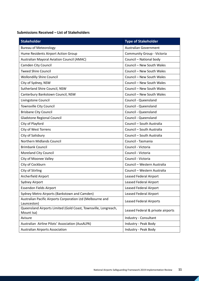### <span id="page-10-0"></span>**Submissions Received – List of Stakeholders**

| <b>Stakeholder</b>                                                            | <b>Type of Stakeholder</b>        |
|-------------------------------------------------------------------------------|-----------------------------------|
| <b>Bureau of Meteorology</b>                                                  | <b>Australian Government</b>      |
| Hume Residents Airport Action Group                                           | Community Group - Victoria        |
| <b>Australian Mayoral Aviation Council (AMAC)</b>                             | Council - National body           |
| Camden City Council                                                           | Council - New South Wales         |
| <b>Tweed Shire Council</b>                                                    | Council - New South Wales         |
| <b>Wollondilly Shire Council</b>                                              | Council - New South Wales         |
| City of Sydney, NSW                                                           | Council - New South Wales         |
| Sutherland Shire Council, NSW                                                 | Council - New South Wales         |
| Canterbury Bankstown Council, NSW                                             | Council - New South Wales         |
| Livingstone Council                                                           | Council - Queensland              |
| Townsville City Council                                                       | Council - Queensland              |
| <b>Brisbane City Council</b>                                                  | Council - Queensland              |
| <b>Gladstone Regional Council</b>                                             | Council - Queensland              |
| City of Playford                                                              | Council - South Australia         |
| <b>City of West Torrens</b>                                                   | Council - South Australia         |
| City of Salisbury                                                             | Council - South Australia         |
| Northern Midlands Council                                                     | Council - Tasmania                |
| <b>Brimbank Council</b>                                                       | Council - Victoria                |
| <b>Moreland City Council</b>                                                  | Council - Victoria                |
| City of Moonee Valley                                                         | Council - Victoria                |
| City of Cockburn                                                              | Council - Western Australia       |
| City of Stirling                                                              | Council - Western Australia       |
| Archerfield Airport                                                           | <b>Leased Federal Airport</b>     |
| Sydney Airport                                                                | <b>Leased Federal Airport</b>     |
| <b>Essendon Fields Airport</b>                                                | <b>Leased Federal Airport</b>     |
| Sydney Metro Airports (Bankstown and Camden)                                  | <b>Leased Federal Airport</b>     |
| Australian Pacific Airports Corporation Ltd (Melbourne and<br>Launceston)     | <b>Leased Federal Airports</b>    |
| Queensland Airports Limited (Gold Coast, Townsville, Longreach,<br>Mount Isa) | Leased Federal & private airports |
| Avisure                                                                       | Industry - Consultant             |
| Australian Airline Pilots' Association (AusALPA)                              | Industry - Peak Body              |
| <b>Australian Airports Association</b>                                        | Industry - Peak Body              |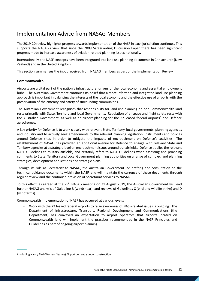# <span id="page-11-0"></span>Implementation Advice from NASAG Members

The 2019-20 review highlights progress towards implementation of the NASF in each jurisdiction continues. This supports the NASAG's view that since the 2009 Safeguarding Discussion Paper there has been significant progress made to increase awareness of aviation-related planning issues nationally.

Internationally, the NASF concepts have been integrated into land use planning documents in Christchurch (New Zealand) and in the United Kingdom.

This section summarises the input received from NASAG members as part of the Implementation Review.

### <span id="page-11-1"></span>**Commonwealth**

----------

Airports are a vital part of the nation's infrastructure, drivers of the local economy and essential employment hubs. The Australian Government continues its belief that a more informed and integrated land use planning approach is important in balancing the interests of the local economy and the effective use of airports with the preservation of the amenity and safety of surrounding communities.

The Australian Government recognises that responsibility for land use planning on non-Commonwealth land rests primarily with State, Territory and local Governments. Regulation of airspace and flight safety rests with the Australian Government, as well as on-airport planning for the 22 leased federal airports<sup>[3](#page-11-2)</sup> and Defence aerodromes.

A key priority for Defence is to work closely with relevant State, Territory, local governments, planning agencies and industry and to actively seek amendments to the relevant planning legislation, instruments and policies around Defence sites in order to mitigate the impacts of encroachment on Defence's activities. The establishment of NASAG has provided an additional avenue for Defence to engage with relevant State and Territory agencies at a strategic level on encroachment issues around our airfields. Defence applies the relevant NASF Guidelines to military airfields, and certainly refers to NASF Guidelines when assessing and providing comments to State, Territory and Local Government planning authorities on a range of complex land planning strategies, development applications and strategic plans.

Through its role as Secretariat to NASAG, the Australian Government led drafting and consultation on the technical guidance documents within the NASF, and will maintain the currency of these documents through regular review and the continued provision of Secretariat services to NASAG.

To this effect, as agreed at the 25<sup>th</sup> NASAG meeting on 21 August 2019, the Australian Government will lead further NASAG analysis of Guideline B (windshear), and reviews of Guidelines C (bird and wildlife strike) and D (windfarms).

Commonwealth implementation of NASF has occurred at various levels:

 $\circ$  Work with the 22 leased federal airports to raise awareness of NASF-related issues is ongoing. The Department of Infrastructure, Transport, Regional Development and Communications (the Department) has conveyed an expectation to airport operators that airports located on Commonwealth land will implement the practices recommended in the NASF Principles and Guidelines as part of ongoing airport planning.

<span id="page-11-2"></span><sup>3</sup> Including Nancy Bird (Western Sydney) Airport currently under construction.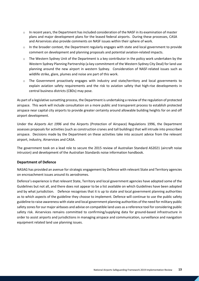- $\circ$  In recent years, the Department has included consideration of the NASF in its examination of master plans and major development plans for the leased federal airports. During these processes, CASA and Airservices also provide comments on NASF issues within their sphere of work.
- o In the broader context, the Department regularly engages with state and local government to provide comment on development and planning proposals and potential aviation-related impacts.
- $\circ$  The Western Sydney Unit of the Department is a key contributor in the policy work undertaken by the Western Sydney Planning Partnership (a key commitment of the Western Sydney City Deal) for land use planning around the new airport in western Sydney. Consideration of NASF-related issues such as wildlife strike, glare, plumes and noise are part of this work.
- $\circ$  The Government proactively engages with industry and state/territory and local governments to explain aviation safety requirements and the risk to aviation safety that high-rise developments in central business districts (CBDs) may pose.

As part of a legislative sunsetting process, the Department is undertaking a review of the regulation of protected airspace. This work will include consultation on a more public and transparent process to establish protected airspace near capital city airports to provide greater certainty around allowable building heights for on and off airport development.

Under the *Airports Act 1996* and the Airports (Protection of Airspace) Regulations 1996, the Department assesses proposals for activities (such as construction cranes and tall buildings) that will intrude into prescribed airspace. Decisions made by the Department on these activities take into account advice from the relevant airport, industry, Airservices and CASA.

The government took on a lead role to secure the 2015 review of Australian Standard AS2021 (aircraft noise intrusion) and development of the Australian Standards noise information handbook.

### <span id="page-12-0"></span>**Department of Defence**

NASAG has provided an avenue for strategic engagement by Defence with relevant State and Territory agencies on encroachment issues around its aerodromes.

Defence's experience is that relevant State, Territory and local government agencies have adopted some of the Guidelines but not all, and there does not appear to be a list available on which Guidelines have been adopted and by what jurisdiction. Defence recognises that it is up to state and local government planning authorities as to which aspects of the guideline they choose to implement. Defence will continue to use the public safety guideline to raise awareness with state and local government planning authorities of the need for military public safety zones for our major airbases and advise on compatible land uses as a reference tool for considering public safety risk. Airservices remains committed to confirming/supplying data for ground-based infrastructure in order to assist airports and jurisdictions in managing airspace and communication, surveillance and navigation equipment related land use planning issues.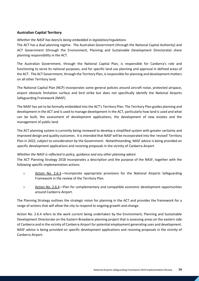### <span id="page-13-0"></span>**Australian Capital Territory**

### *Whether the NASF has been/is being embedded in legislation/regulations*

The ACT has a dual planning regime. The Australian Government (through the National Capital Authority) and ACT Government (through the Environment, Planning and Sustainable Development Directorate) share planning responsibility in the ACT.

The Australian Government, through the National Capital Plan, is responsible for Canberra's role and functioning to serve its national purposes, and for specific land use planning and approval in defined areas of the ACT. The ACT Government, through the Territory Plan, is responsible for planning and development matters on all other Territory land.

The National Capital Plan (NCP) incorporates some general policies around aircraft noise, protected airspace, airport obstacle limitation surface and bird strike but does not specifically identify the National Airports Safeguarding Framework (NASF).

The NASF has yet to be formally embedded into the ACT's Territory Plan. The Territory Plan guides planning and development in the ACT and is used to manage development in the ACT, particularly how land is used and what can be built, the assessment of development applications, the development of new estates and the management of public land.

The ACT planning system is currently being reviewed to develop a simplified system with greater certainty and improved design and quality outcomes. It is intended that NASF will be incorporated into the 'revised' Territory Plan in 2022, subject to consideration by the Government. Notwithstanding, NASF advice is being provided on specific development applications and rezoning proposals in the vicinity of Canberra Airport.

#### *Whether the NASF is reflected in policy, guidance and any other planning advice*

The ACT Planning Strategy 2018 incorporates a description and the purpose of the NASF, together with the following specific implementation actions:

- o Action No. 2.6.3—Incorporate appropriate provisions for the National Airports Safeguarding Framework in the review of the Territory Plan.
- o Action No. 2.6.4—Plan for complementary and compatible economic development opportunities around Canberra Airport.

The Planning Strategy outlines the strategic vision for planning in the ACT and provides the framework for a range of actions that will allow the city to respond to ongoing growth and change.

Action No. 2.6.4 refers to the work current being undertaken by the Environment, Planning and Sustainable Development Directorate on the Eastern Broadacre planning project that is assessing areas on the eastern side of Canberra and in the vicinity of Canberra Airport for potential employment generating uses and development. NASF advice is being provided on specific development applications and rezoning proposals in the vicinity of Canberra Airport.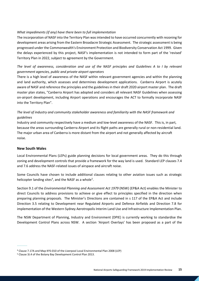### *What impediments (if any) have there been to full implementation*

The incorporation of NASF into the Territory Plan was intended to have occurred concurrently with rezoning for development areas arising from the Eastern Broadacre Strategic Assessment. The strategic assessment is being progressed under the Commonwealth's Environment Protection and Biodiversity Conservation Act 1999. Given the delays experienced by this project, NASF's implementation is not intended to form part of the 'revised' Territory Plan in 2022, subject to agreement by the Government.

### *The level of awareness, consideration and use of the NASF principles and Guidelines A to I by relevant government agencies, public and private airport operators*

There is a high level of awareness of the NASF within relevant government agencies and within the planning and land authority, which assesses and determines development applications. Canberra Airport is acutely aware of NASF and reference the principles and the guidelines in their draft 2020 airport master plan. The draft master plan states, "Canberra Airport has adopted and considers all relevant NASF Guidelines when assessing on-airport development, including Airport operations and encourages the ACT to formally incorporate NASF into the Territory Plan".

### *The level of industry and community stakeholder awareness and familiarity with the NASF framework and guidelines*

Industry and community respectively have a medium and low-level awareness of the NASF. This is, in part, because the areas surrounding Canberra Airport and its flight paths are generally rural or non-residential land. The major urban area of Canberra is more distant from the airport and not generally affected by aircraft noise.

### <span id="page-14-0"></span>**New South Wales**

----------

Local Environmental Plans (LEPs) guide planning decisions for local government areas. They do this through zoning and development controls that provide a framework for the way land is used. Standard LEP clauses 7.4 and 7.6 address the NASF-related issues of airspace and aircraft noise.

Some Councils have chosen to include additional clauses relating to other aviation issues such as strategic helicopter landing sites<sup>[4](#page-14-1)</sup>, and the NASF as a whole<sup>[5](#page-14-2)</sup>.

Section 9.1 of the *Environmental Planning and Assessment Act 1979* (NSW) (EP&A Act) enables the Minister to direct Councils to address provisions to achieve or give effect to principles specified in the direction when preparing planning proposals. The Minister's Directions are contained in s 117 of the EP&A Act and include Direction 3.5 relating to Development near Regulated Airports and Defence Airfields and Direction 7.8 for implementation of the Western Sydney Aerotropolis Interim Land Use and Infrastructure Implementation Plan.

The NSW Department of Planning, Industry and Environment (DPIE) is currently working to standardise the Development Control Plans across NSW. A section 'Airport Overlays' has been proposed as a part of the

<span id="page-14-1"></span><sup>4</sup> Clause 7.17A and Map KYS-010 of the Liverpool Local Environmental Plan 2008 (LEP)

<span id="page-14-2"></span><sup>5</sup> Clause 3J.4 of the Botany Bay Development Control Plan 2013.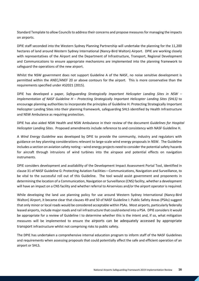Standard Template to allow Councils to address their concerns and propose measures for managing the impacts on airports.

DPIE staff seconded into the Western Sydney Planning Partnership will undertake the planning for the 11,200 hectares of land around Western Sydney International (Nancy-Bird Walton) Airport. DPIE are working closely with representatives of the Airport and the Department of Infrastructure, Transport, Regional Development and Communications to ensure appropriate mechanisms are implemented into the planning framework to safeguard the operations of the new airport.

Whilst the NSW government does not support Guideline A of the NASF, no noise sensitive development is permitted within the ANEC/ANEF 20 or above contours for the airport. This is more conservative than the requirements specified under AS2021 (2015).

DPIE has developed a paper, *Safeguarding Strategically Important Helicopter Landing Sites in NSW – Implementation of NASF Guideline H – Protecting Strategically Important Helicopter Landing Sites (SHLS)* to encourage planning authorities to incorporate the principles of Guideline H: Protecting Strategically Important Helicopter Landing Sites into their planning framework, safeguarding SHLS identified by Health Infrastructure and NSW Ambulance as requiring protection.

DPIE has also aided NSW Health and NSW Ambulance in their review of the document *Guidelines for Hospital Helicopter Landing Sites*. Proposed amendments include reference to and consistency with NASF Guideline H.

A *Wind Energy Guideline* was developed by DPIE to provide the community, industry and regulators with guidance on key planning considerations relevant to large-scale wind energy proposals in NSW. The Guideline includes a section on aviation safety noting – wind energy projects need to consider the potential safety hazards for aircraft through intrusions of wind turbines into the airspace and potential effects on navigation instruments.

DPIE considers development and availability of the Development Impact Assessment Portal Tool, identified in clause 31 of NASF Guideline G: Protecting Aviation Facilities—Communications, Navigation and Surveillance, to be vital to the successful roll out of this Guideline. The tool would assist government and proponents in determining the location of a Communication, Navigation or Surveillance (CNS) facility, whether a development will have an impact on a CNS facility and whether referral to Airservices and/or the airport operator is required.

While developing the land use planning policy for use around Western Sydney International (Nancy-Bird Walton) Airport, it became clear that clauses 49 and 50 of NASF Guideline I: Public Safety Areas (PSAs) suggest that only minor or local roads would be considered acceptable within PSAs. Most airports, particularly federally leased airports, include major roads and rail infrastructure that could extend into a PSA. DPIE considers it would be appropriate for a review of Guideline I to determine whether this is the intent and, if so, what mitigation measures will be implemented to ensure the airports can be adequately accessed by appropriate transport infrastructure whilst not comprising risks to public safety.

The DPIE has undertaken a comprehensive internal education program to inform staff of the NASF Guidelines and requirements when assessing proposals that could potentially affect the safe and efficient operation of an airport or SHLS.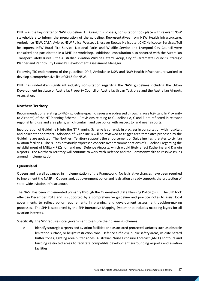DPIE was the key drafter of NASF Guideline H. During this process, consultation took place with relevant NSW stakeholders to inform the preparation of the guideline. Representatives from NSW Health Infrastructure, Ambulance NSW, CASA, Avipro, NSW Police, Westpac Lifesaver Rescue Helicopter, CHC Helicopter Services, Toll helicopters, NSW Rural Fire Service, National Parks and Wildlife Service and Liverpool City Council were consulted and participated in a DPIE led workshop. Additional consultation also occurred with the Australian Transport Safety Bureau, the Australian Aviation Wildlife Hazard Group, City of Parramatta Council's Strategic Planner and Penrith City Council's Development Assessment Manager.

Following TIC endorsement of the guideline, DPIE, Ambulance NSW and NSW Health Infrastructure worked to develop a comprehensive list of SHLS for NSW.

DPIE has undertaken significant industry consultation regarding the NASF guidelines including the Urban Development Institute of Australia; Property Council of Australia; Urban Taskforce and the Australian Airports Association.

### <span id="page-16-0"></span>**Northern Territory**

Recommendations relating to NASF guideline-specific issues are addressed through clause 6.9 (Land In Proximity to Airports) of the NT Planning Scheme. Provisions relating to Guidelines A, C and E are reflected in relevant regional land use and area plans, which contain land use policy with respect to land near airports.

Incorporation of Guideline H into the NT Planning Scheme is currently in progress in consultation with hospitals and helicopter operators. Adoption of Guideline B will be reviewed as trigger area templates proposed by the Guideline are updated. The Northern Territory supports the endorsement of Guideline I as it relates to civilian aviation facilities. The NT has previously expressed concern over recommendations of Guideline I regarding the establishment of Military PSZs for land near Defence Airports, which would likely affect Katherine and Darwin airports. The Northern Territory will continue to work with Defence and the Commonwealth to resolve issues around implementation.

### <span id="page-16-1"></span>**Queensland**

Queensland is well advanced in implementation of the Framework. No legislative changes have been required to implement the NASF in Queensland, as government policy and legislation already supports the protection of state-wide aviation infrastructure.

The NASF has been implemented primarily through the Queensland State Planning Policy (SPP). The SPP took effect in December 2013 and is supported by a comprehensive guideline and practice notes to assist local governments to reflect policy requirements in planning and development assessment decision-making processes. The SPP is supported by the SPP Interactive Mapping System that includes mapping layers for all aviation interests.

Specifically, the SPP requires local government to ensure their planning schemes:

o identify strategic airports and aviation facilities and associated protected surfaces such as obstacle limitation surface, or height restriction zone (Defence airfields), public safety areas, wildlife hazard buffer zones, lighting area buffer zones, Australian Noise Exposure Forecast (ANEF) contours and building restricted areas to facilitate compatible development surrounding airports and aviation facilities;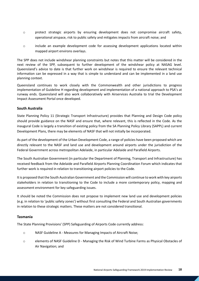- $\circ$  protect strategic airports by ensuring development does not compromise aircraft safety, operational airspace, risk to public safety and mitigates impacts from aircraft noise; and
- o include an example development code for assessing development applications located within mapped airport environs overlays.

The SPP does not include windshear planning constraints but notes that this matter will be considered in the next review of the SPP, subsequent to further development of the windshear policy at NASAG level. Queensland's advice to date is that further work on windshear is required to ensure the relevant technical information can be expressed in a way that is simple to understand and can be implemented in a land use planning context.

Queensland continues to work closely with the Commonwealth and other jurisdictions to progress implementation of Guideline H regarding development and implementation of a national approach to PSA's at runway ends. Queensland will also work collaboratively with Airservices Australia to trial the Development Impact Assessment Portal once developed.

### <span id="page-17-0"></span>**South Australia**

State Planning Policy 11 (Strategic Transport Infrastructure) provides that Planning and Design Code policy should provide guidance on the NASF and ensure that, where relevant, this is reflected in the Code. As the inaugural Code is largely a transition of existing policy from the SA Planning Policy Library (SAPPL) and current Development Plans, there may be elements of NASF that will not initially be incorporated.

As part of the development of the Urban Development Code, a range of policies have been proposed which are directly relevant to the NASF and land use and development around airports under the jurisdiction of the Federal Government across metropolitan Adelaide, in particular Adelaide and Parafield Airports.

The South Australian Government (in particular the Department of Planning, Transport and Infrastructure) has received feedback from the Adelaide and Parafield Airports Planning Coordination Forum which indicates that further work is required in relation to transitioning airport policies to the Code.

It is proposed that the South Australian Government and the Commission will continue to work with key airports stakeholders in relation to transitioning to the Code to include a more contemporary policy, mapping and assessment environment for key safeguarding issues.

It should be noted the Commission does not propose to implement new land use and development policies (e.g. in relation to 'public safety zones') without first consulting the Federal and South Australian governments in relation to these strategic matters. These matters are not considered transitional.

### <span id="page-17-1"></span>**Tasmania**

The State Planning Provisions' (SPP) Safeguarding of Airports Code currently address:

- o NASF Guideline A Measures for Managing Impacts of Aircraft Noise;
- o elements of NASF Guideline D Managing the Risk of Wind Turbine Farms as Physical Obstacles of Air Navigation; and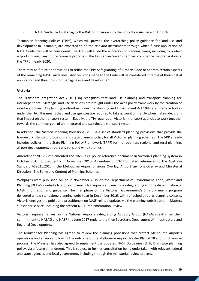o NASF Guideline F - Managing the Risk of Intrusion into the Protection Airspace of Airports.

Tasmanian Planning Policies (TPPs), which will provide the overarching policy guidance for land use and development in Tasmania, are expected to be the relevant instruments through which future application of NASF Guidelines will be considered. The TPPs will guide the allocation of planning zones, including to protect airports through any future rezoning proposals. The Tasmanian Government will commence the preparation of the TPPs in early 2020.

There may be future opportunities to refine the SPPs Safeguarding of Airports Code to address certain aspects of the remaining NASF Guidelines. Any revisions made to the Code will be considered in terms of their spatial application and thresholds for managing use and development.

### <span id="page-18-0"></span>**Victoria**

The Transport Integration Act 2010 (TIA) recognises that land use planning and transport planning are interdependent. Strategic land use decisions are brought under the Act's policy framework by the creation of interface bodies. All planning authorities under the Planning and Environment Act 1987 are interface bodies under the TIA. This means that land use agencies are required to take account of the TIA when making decisions that impact on the transport system. Equally, the TIA requires all Victorian transport agencies to work together towards the common goal of an integrated and sustainable transport system.

In addition, the Victoria Planning Provisions (VPP) is a set of standard planning provisions that provide the framework, standard provisions and state planning policy for all Victorian planning schemes. The VPP already includes policies in the State Planning Policy Framework (SPPF) for metropolitan, regional and rural planning, airport development, airport environs and wind turbines.

Amendment VC128 implemented the NASF as a policy reference document in Victoria's planning system in October 2015. Subsequently in November 2015, Amendment VC107 updated references to the Australia Standard AS2021:2015 in the Melbourne Airport Environs Overlay, Airport Environs Overlay and Ministerial Direction - The Form and Content of Planning Schemes.

Webpages were published online in November 2015 on the Department of Environment, Land, Water and Planning (DELWP) website to support planning for airports and environs safeguarding and the dissemination of NASF information and guidance. The first phase of the Victorian Government's Smart Planning program delivered a new standalone planning website at in December 2016, with refreshed airports planning content. Victoria engages the public and practitioners on NASF-related updates via the planning website and Matters subscriber service, including the present NASF Implementation Review.

Victorian representatives on the National Airports Safeguarding Advisory Group (NASAG) reaffirmed their commitment to NASAG and NASF in a June 2017 reply to the then Secretary, Department of Infrastructure and Regional Development.

The Minister for Planning has agreed to review the planning provisions that protect Melbourne Airport's operations and environs following the outcome of the Melbourne Airport Master Plan 2018 and third runway process. The Minister has also agreed to implement the updated NASF Guidelines (G, H, I) in state planning policy, via a future amendment. This is subject to further consultation being undertaken with relevant federal and state agencies and local government, including through the ministerial review process.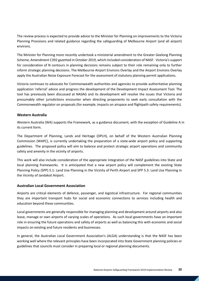The review process is expected to provide advice to the Minister for Planning on improvements to the Victoria Planning Provisions and related guidance regarding the safeguarding of Melbourne Airport (and all airport) environs.

The Minister for Planning more recently undertook a ministerial amendment to the Greater Geelong Planning Scheme, Amendment C392 gazetted in October 2019, which included consideration of NASF. Victoria's support for consideration of N contours in planning decisions remains subject to their role remaining only to further inform strategic planning decisions. The Melbourne Airport Environs Overlay and the Airport Environs Overlay apply the Australian Noise Exposure Forecast for the assessment of statutory planning permit applications.

Victoria continues to advocate for Commonwealth authorities and agencies to provide authoritative planning application 'referral' advice and progress the development of the Development Impact Assessment Tool. The tool has previously been discussed at NASAG and its development will resolve the issues that Victoria and presumably other jurisdictions encounter when directing proponents to seek early consultation with the Commonwealth regulator on proposals (for example, impacts on airspace and flightpath safety requirements).

### <span id="page-19-0"></span>**Western Australia**

Western Australia (WA) supports the Framework, as a guidance document, with the exception of Guideline A in its current form.

The Department of Planning, Lands and Heritage (DPLH), on behalf of the Western Australian Planning Commission (WAPC), is currently undertaking the preparation of a state-wide airport policy and supporting guidelines. The proposed policy will aim to balance and protect strategic airport operations and community safety and amenity in the vicinity of airports.

This work will also include consideration of the appropriate integration of the NASF guidelines into State and local planning frameworks. It is anticipated that a new airport policy will complement the existing State Planning Policy (SPP) 5.1: Land Use Planning in the Vicinity of Perth Airport and SPP 5.3: Land Use Planning in the Vicinity of Jandakot Airport.

### <span id="page-19-1"></span>**Australian Local Government Association**

Airports are critical elements of defence, passenger, and logistical infrastructure. For regional communities they are important transport hubs for social and economic connections to services including health and education beyond these communities.

Local governments are generally responsible for managing planning and development around airports and also lease, manage or own airports of varying scales of operations. As such local governments have an important role in ensuring the future operations and safety of airports as well as balancing this with economic and social impacts on existing and future residents and businesses.

In general, the Australian Local Government Association's (ALGA) understanding is that the NASF has been working well where the relevant principles have been incorporated into State Government planning policies or guidelines that councils must consider in preparing local or regional planning documents.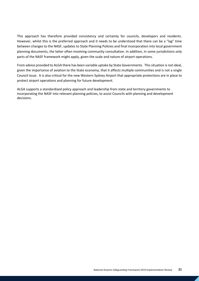This approach has therefore provided consistency and certainty for councils, developers and residents. However, whilst this is the preferred approach and it needs to be understood that there can be a "lag" time between changes to the NASF, updates to State Planning Policies and final incorporation into local government planning documents, the latter often involving community consultation. In addition, in some jurisdictions only parts of the NASF framework might apply, given the scale and nature of airport operations.

From advice provided to ALGA there has been variable uptake by State Governments. This situation is not ideal, given the importance of aviation to the State economy, that it affects multiple communities and is not a single Council issue. It is also critical for the new Western Sydney Airport that appropriate protections are in place to protect airport operations and planning for future development.

ALGA supports a standardised policy approach and leadership from state and territory governments to incorporating the NASF into relevant planning policies, to assist Councils with planning and development decisions.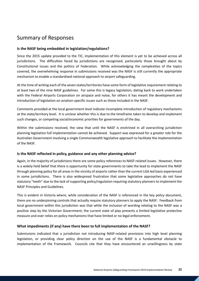# <span id="page-21-0"></span>Summary of Responses

### <span id="page-21-1"></span>**Is the NASF being embedded in legislation/regulations?**

Since the 2015 update provided to the TIC, implementation of this element is yet to be achieved across all jurisdictions. The difficulties faced by jurisdictions are recognised, particularly those brought about by Constitutional issues and the politics of Federation. While acknowledging the complexities of the topics covered, the overwhelming response in submissions received was the NASF is still currently the appropriate mechanism to enable a standardised national approach to airport safeguarding.

At the time of writing each of the seven states/territories have some form of legislative requirement relating to at least two of the nine NASF guidelines. For some this is legacy legislation, dating back to work undertaken with the Federal Airports Corporation on airspace and noise, for others it has meant the development and introduction of legislation on aviation-specific issues such as those included in the NASF.

Comments provided at the local government level indicate incomplete introduction of regulatory mechanisms at the state/territory level. It is unclear whether this is due to the timeframe taken to develop and implement such changes, or competing social/economic priorities for governments of the day.

Within the submissions received, the view that until the NASF is enshrined in all overarching jurisdiction planning legislation full implementation cannot be achieved. Support was expressed for a greater role for the Australian Government involving a single Commonwealth legislative approach to facilitate the implementation of the NASF.

### <span id="page-21-2"></span>**Is the NASF reflected in policy, guidance and any other planning advice?**

Again, in the majority of jurisdictions there are some policy references to NASF-related issues. However, there is a widely held belief that there is opportunity for state governments to take the lead to implement the NASF through planning policy for all areas in the vicinity of airports rather than the current LGA led basis experienced in some jurisdictions. There is also widespread frustration that some legislative approaches do not have statutory "teeth" due to the lack of supporting policy/regulation requiring statutory planners to implement the NASF Principles and Guidelines.

This is evident in Victoria where, while consideration of the NASF is referenced in the key policy document, there are no underpinning controls that actually require statutory planners to apply the NASF. Feedback from local government within this jurisdiction was that while the inclusion of wording relating to the NASF was a positive step by the Victorian Government, the current state of play presents a limited legislative protective measure and over relies on policy mechanisms that have limited or no legal enforcement.

### <span id="page-21-3"></span>**What impediments (if any) have there been to full implementation of the NASF?**

Submissions indicated that a jurisdiction not introducing NASF-related provisions into high level planning legislation, or providing clear policy direction on the use of the NASF is a fundamental obstacle to implementation of the Framework. Councils cite that they have encountered an unwillingness by state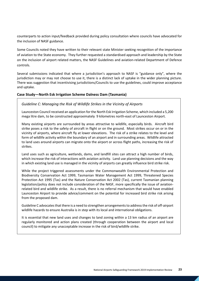counterparts to action input/feedback provided during policy consultation where councils have advocated for the inclusion of NASF guidance.

Some Councils noted they have written to their relevant state Minister seeking recognition of the importance of aviation to the State economy. They further requested a standardised approach and leadership by the State on the inclusion of airport related matters, the NASF Guidelines and aviation-related Department of Defence controls.

Several submissions indicated that where a jurisdiction's approach to NASF is "guidance only", where the jurisdiction may or may not choose to use it, there is a distinct lack of uptake in the wider planning picture. There was suggestion that incentivising jurisdictions/Councils to use the guidelines, could improve acceptance and uptake.

### **Case Study—North Esk Irrigation Scheme Dalness Dam (Tasmania)**

### *Guideline C: Managing the Risk of Wildlife Strikes in the Vicinity of Airports*

Launceston Council received an application for the North Esk Irrigation Scheme, which included a 5,200 mega litre dam, to be constructed approximately 9 kilometres north-east of Launceston Airport.

Many existing airports are surrounded by areas attractive to wildlife, especially birds. Aircraft bird strike poses a risk to the safety of aircraft in flight or on the ground. Most strikes occur on or in the vicinity of airports, where aircraft fly at lower elevations. The risk of a strike relates to the level and form of wildlife activity within the boundary of an airport and in surrounding areas. Wildlife attracted to land uses around airports can migrate onto the airport or across flight paths, increasing the risk of strikes.

Land uses such as agriculture, wetlands, dams, and landfill sites can attract a high number of birds, which increase the risk of interactions with aviation activity. Land use planning decisions and the way in which existing land use is managed in the vicinity of airports can greatly influence bird strike risk.

While the project triggered assessments under the Commonwealth Environmental Protection and Biodiversity Conservation Act 1999, Tasmanian Water Management Act 1999, Threatened Species Protection Act 1995 (Tas) and the Nature Conservation Act 2002 (Tas), current Tasmanian planning legislation/policy does not include consideration of the NASF, more specifically the issue of aviationrelated bird and wildlife strike. As a result, there is no referral mechanism that would have enabled Launceston Airport to provide advice/comment on the potential for increased bird strike risk arising from the proposed dam.

Guideline C advocates that there is a need to strengthen arrangements to address the risk of off-airport wildlife hazards to ensure Australia is in step with its local and international obligations.

It is essential that new land uses and changes to land zoning within a 13 km radius of an airport are regularly monitored and action plans created (through cooperation between the airport and local council) to mitigate any unacceptable increase in the risk of bird/wildlife strike.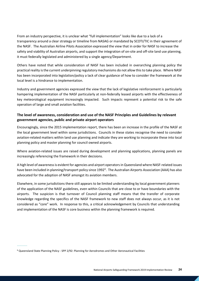From an industry perspective, it is unclear what "full implementation" looks like due to a lack of a transparency around a clear strategy or timeline from NASAG or mandated by SCOTI/TIC in their agreement of the NASF. The Australian Airline Pilots Association expressed the view that in order for NASF to increase the safety and viability of Australian airports, and support the integration of on-site and off-site land use planning, it must federally legislated and administered by a single agency/Department.

Others have noted that while consideration of NASF has been included in overarching planning policy the practical reality is the current underpinning regulatory mechanisms do not allow this to take place. Where NASF has been incorporated into legislation/policy a lack of clear guidance of how to consider the framework at the local level is a hindrance to implementation.

Industry and government agencies expressed the view that the lack of legislative reinforcement is particularly hampering implementation of the NASF particularly at non-federally leased airports with the effectiveness of key meteorological equipment increasingly impacted. Such impacts represent a potential risk to the safe operation of large and small aviation facilities.

### <span id="page-23-0"></span>**The level of awareness, consideration and use of the NASF Principles and Guidelines by relevant government agencies, public and private airport operators**

Encouragingly, since the 2015 implementation report, there has been an increase in the profile of the NASF at the local government level within some jurisdictions. Councils in these states recognise the need to consider aviation-related matters within land use planning and indicate they are working to incorporate these into local planning policy and master planning for council owned airports.

Where aviation-related issues are raised during development and planning applications, planning panels are increasingly referencing the framework in their decisions.

A high level of awareness is evident for agencies and airport operators in Queensland where NASF-related issues have been included in planning/transport policy since 1992<sup>[6](#page-23-1)</sup>. The Australian Airports Association (AAA) has also advocated for the adoption of NASF amongst its aviation members.

Elsewhere, in some jurisdictions there still appears to be limited understanding by local government planners of the application of the NASF guidelines, even within Councils that are close to or have boundaries with the airports. The suspicion is that turnover of Council planning staff means that the transfer of corporate knowledge regarding the specifics of the NASF framework to new staff does not always occur, as it is not considered as "core" work. In response to this, a critical acknowledgement by Councils that understanding and implementation of the NASF is core business within the planning framework is required.

----------

<span id="page-23-1"></span><sup>6</sup> Queensland State Planning Policy - SPP 2/92: Planning for Aerodromes and Other Aeronautical Facilities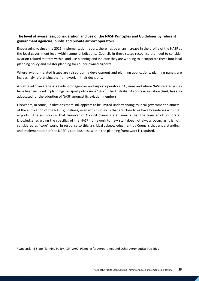### <span id="page-24-0"></span>**The level of awareness, consideration and use of the NASF Principles and Guidelines by relevant government agencies, public and private airport operators**

Encouragingly, since the 2015 implementation report, there has been an increase in the profile of the NASF at the local government level within some jurisdictions. Councils in these states recognise the need to consider aviation-related matters within land use planning and indicate they are working to incorporate these into local planning policy and master planning for council owned airports.

Where aviation-related issues are raised during development and planning applications, planning panels are increasingly referencing the framework in their decisions.

A high level of awareness is evident for agencies and airport operators in Queensland where NASF-related issues have been included in planning/transport policy since 1992<sup>[7](#page-24-1)</sup>. The Australian Airports Association (AAA) has also advocated for the adoption of NASF amongst its aviation members.

Elsewhere, in some jurisdictions there still appears to be limited understanding by local government planners of the application of the NASF guidelines, even within Councils that are close to or have boundaries with the airports. The suspicion is that turnover of Council planning staff means that the transfer of corporate knowledge regarding the specifics of the NASF framework to new staff does not always occur, as it is not considered as "core" work. In response to this, a critical acknowledgement by Councils that understanding and implementation of the NASF is core business within the planning framework is required.

<span id="page-24-1"></span> $7$  Queensland State Planning Policy - SPP 2/92: Planning for Aerodromes and Other Aeronautical Facilities

----------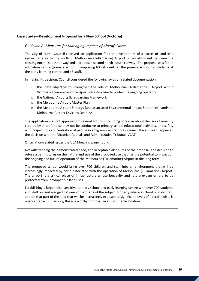### **Case Study—Development Proposal for a New School (Victoria)**

#### *Guideline A: Measures for Managing Impacts of Aircraft Noise*

The City of Hume Council received an application for the development of a parcel of land in a semi-rural area to the north of Melbourne (Tullamarine) Airport on an alignment between the existing north - south runway and a proposed second north -south runway. The proposal was for an education centre (primary school), comprising 600 students at the primary school, 66 students at the early learning centre, and 48 staff.

In making its decision, Council considered the following aviation related documentation:

- o the State objective to strengthen the role of Melbourne (Tullamarine) Airport within Victoria's economic and transport infrastructure to protect its ongoing operation;
- o the National Airports Safeguarding Framework;
- o the Melbourne Airport Master Plan;
- o the Melbourne Airport Strategy (and associated Environmental Impact Statement); and\the Melbourne Airport Environs Overlays.

The application was not approved on several grounds, including concerns about the lack of amenity created by aircraft noise may not be conducive to primary school educational activities, and safety with respect to a concentration of people in a high-risk aircraft crash zone. The applicant appealed the decision with the Victorian Appeals and Administrative Tribunal (VCAT).

On aviation-related issues the VCAT hearing panel found:

Notwithstanding the demonstrated need, and acceptable attributes of the proposal, the decision to refuse a permit turns on the nature and size of the proposed use that has the potential to impact on the ongoing and future operation of the Melbourne (Tullamarine) Airport in the long term.

The proposed school would bring over 700 children and staff into an environment that will be increasingly impacted by noise associated with the operation of Melbourne (Tullamarine) Airport. The airport is a critical piece of infrastructure whose longevity and future expansion are to be protected from incompatible land uses.

Establishing a large noise-sensitive primary school and early learning centre with over 700 students and staff on land wedged between other parts of the subject property where a school is prohibited, and on that part of the land that will be increasingly exposed to significant levels of aircraft noise, is unacceptable. Put simply, this is a worthy proposal, in an unsuitable location.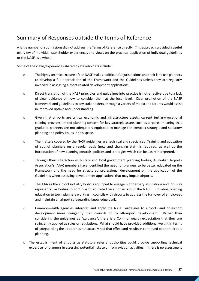# <span id="page-26-0"></span>Summary of Responses outside the Terms of Reference

A large number of submissions did not address the Terms of Reference directly. This approach provided a useful overview of individual stakeholder experiences and views on the practical application of individual guidelines or the NASF as a whole.

Some of the views/experiences shared by stakeholders include:

- o The highly technical nature of the NASF makes it difficult for jurisdictions and their land use planners to develop a full appreciation of the Framework and the Guidelines unless they are regularly involved in assessing airport-related development applications.
- o Direct translation of the NASF principles and guidelines into practice is not effective due to a lack of clear guidance of how to consider them at the local level. Clear promotion of the NASF framework and guidelines to key stakeholders, through a variety of media and forums would assist in improved uptake and understanding.
- o Given that airports are critical economic and infrastructure assets, current tertiary/vocational training provides limited planning context for key strategic assets such as airports, meaning that graduate planners are not adequately equipped to manage the complex strategic and statutory planning and policy issues in this space.
- o The matters covered by the NASF guidelines are technical and specialised. Training and education of council planners on a regular basis (new and changing staff) is required, as well as the introduction of new planning controls, policies and strategies which can be easily interpreted.
- o Through their interaction with state and local government planning bodies, Australian Airports Association's (AAA) members have identified the need for planners to be better educated on the Framework and the need for structured professional development on the application of the Guidelines when assessing development applications that may impact airports.
- o The AAA as the airport industry body is equipped to engage with tertiary institutions and industry representative bodies to continue to educate these bodies about the NASF. Providing ongoing education to town planners working in councils with airports to address the turnover of employees and maintain an airport safeguarding knowledge bank.
- o Commonwealth agencies interpret and apply the NASF Guidelines to airports and on-airport development more stringently than councils do to off-airport development. Rather than considering the guidelines as "guidance", there is a Commonwealth expectation that they are stringently applied as rules or regulations. What should have provided additional weight in terms of safeguarding the airport has not actually had that effect and results in continued poor on-airport planning.
- $\circ$  The establishment of airports as statutory referral authorities could provide supporting technical expertise for planners in assessing potential risks to or from aviation activities. If there is no assessment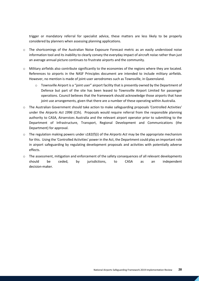trigger or mandatory referral for specialist advice, these matters are less likely to be properly considered by planners when assessing planning applications.

- o The shortcomings of the Australian Noise Exposure Forecast metric as an easily understood noise information tool and its inability to clearly convey the everyday impact of aircraft noise rather than just an average annual picture continues to frustrate airports and the community.
- o Military airfields also contribute significantly to the economies of the regions where they are located. References to airports in the NASF Principles document are intended to include military airfields. However, no mention is made of joint-user aerodromes such as Townsville, in Queensland.
	- $\circ$  Townsville Airport is a "joint user" airport facility that is presently owned by the Department of Defence but part of the site has been leased to Townsville Airport Limited for passenger operations. Council believes that the framework should acknowledge those airports that have joint use arrangements, given that there are a number of these operating within Australia.
- o The Australian Government should take action to make safeguarding proposals 'Controlled Activities' under the *Airports Act 1996* (Cth). Proposals would require referral from the responsible planning authority to CASA, Airservices Australia and the relevant airport operator prior to submitting to the Department of Infrastructure, Transport, Regional Development and Communications (the Department) for approval.
- $\circ$  The regulation making powers under s182(f)(i) of the *Airports Act* may be the appropriate mechanism for this. Using the 'Controlled Activities' power in the Act, the Department could play an important role in airport safeguarding by regulating development proposals and activities with potentially adverse effects.
- o The assessment, mitigation and enforcement of the safety consequences of all relevant developments should be ceded, by jurisdictions, to CASA as an independent decision-maker.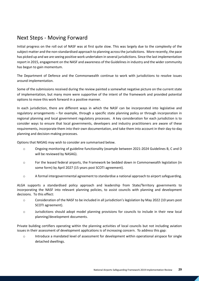# <span id="page-28-0"></span>Next Steps - Moving Forward

Initial progress on the roll out of NASF was at first quite slow. This was largely due to the complexity of the subject matter and the non-standardised approach to planning across the jurisdictions. More recently, the pace has picked up and we are seeing positive work undertaken in several jurisdictions. Since the last implementation report in 2015, engagement on the NASF and awareness of the Guidelines in industry and the wider community has begun to gain momentum.

The Department of Defence and the Commonwealth continue to work with jurisdictions to resolve issues around implementation.

Some of the submissions received during the review painted a somewhat negative picture on the current state of implementation, but many more were supportive of the intent of the framework and provided potential options to move this work forward in a positive manner.

In each jurisdiction, there are different ways in which the NASF can be incorporated into legislative and regulatory arrangements – for example, through a specific state planning policy or through incorporation in regional planning and local government regulatory processes. A key consideration for each jurisdiction is to consider ways to ensure that local governments, developers and industry practitioners are aware of these requirements, incorporate them into their own documentation, and take them into account in their day-to-day planning and decision-making processes.

Options that NASAG may wish to consider are summarised below.

- o Ongoing monitoring of guideline functionality (example between 2021-2024 Guidelines B, C and D will be reviewed by NASAG).
- o For the leased federal airports, the Framework be bedded down in Commonwealth legislation (in some form) by April 2027 (15 years post SCOTI agreement).
- o A formal intergovernmental agreement to standardise a national approach to airport safeguarding.

ALGA supports a standardised policy approach and leadership from State/Territory governments to incorporating the NASF into relevant planning policies, to assist councils with planning and development decisions. To this effect:

- o Consideration of the NASF to be included in all jurisdiction's legislation by May 2022 (10 years post SCOTI agreement).
- o Jurisdictions should adopt model planning provisions for councils to include in their new local planning/development documents.

Private building certifiers operating within the planning activities of local councils but not including aviation issues in their assessment of development applications is of increasing concern. To address this gap:

o Introduce a mandated level of assessment for development within operational airspace for single detached dwellings.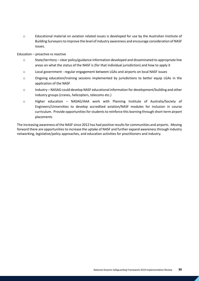o Educational material on aviation related issues is developed for use by the Australian Institute of Building Surveyors to improve the level of industry awareness and encourage consideration of NASF issues.

#### Education – proactive vs reactive

- o State/territory clear policy/guidance information developed and disseminated to appropriate line areas on what the status of the NASF is (for that individual jurisdiction) and how to apply it
- o Local government regular engagement between LGAs and airports on local NASF issues
- o Ongoing education/training sessions implemented by jurisdictions to better equip LGAs in the application of the NASF
- o Industry NASAG could develop NASF educational information for development/building and other industry groups (cranes, helicopters, telecoms etc.)
- o Higher education NASAG/AAA work with Planning Institute of Australia/Society of Engineers/Universities to develop accredited aviation/NASF modules for inclusion in course curriculum. Provide opportunities for students to reinforce this learning through short-term airport placements

The increasing awareness of the NASF since 2012 has had positive results for communities and airports. Moving forward there are opportunities to increase the uptake of NASF and further expand awareness through industry networking, legislative/policy approaches, and education activities for practitioners and industry.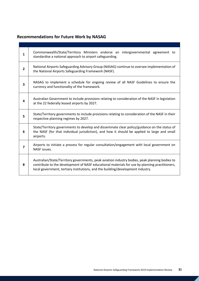# <span id="page-30-0"></span>**Recommendations for Future Work by NASAG**

| $\mathbf{1}$   | Commonwealth/State/Territory Ministers endorse an intergovernmental agreement to<br>standardise a national approach to airport safeguarding.                                                                                                                                        |  |
|----------------|-------------------------------------------------------------------------------------------------------------------------------------------------------------------------------------------------------------------------------------------------------------------------------------|--|
| $\overline{2}$ | National Airports Safeguarding Advisory Group (NASAG) continue to oversee implementation of<br>the National Airports Safeguarding Framework (NASF).                                                                                                                                 |  |
| 3              | NASAG to implement a schedule for ongoing review of all NASF Guidelines to ensure the<br>currency and functionality of the framework.                                                                                                                                               |  |
| 4              | Australian Government to include provisions relating to consideration of the NASF in legislation<br>at the 22 federally leased airports by 2027.                                                                                                                                    |  |
| 5              | State/Territory governments to include provisions relating to consideration of the NASF in their<br>respective planning regimes by 2027.                                                                                                                                            |  |
| 6              | State/Territory governments to develop and disseminate clear policy/guidance on the status of<br>the NASF (for that individual jurisdiction), and how it should be applied to large and small<br>airports.                                                                          |  |
| $\overline{ }$ | Airports to initiate a process for regular consultation/engagement with local government on<br>NASF issues.                                                                                                                                                                         |  |
| 8              | Australian/State/Territory governments, peak aviation industry bodies, peak planning bodies to<br>contribute to the development of NASF educational materials for use by planning practitioners,<br>local government, tertiary institutions, and the building/development industry. |  |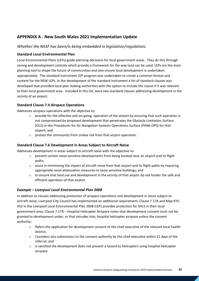## <span id="page-31-0"></span>**APPENDIX A - New South Wales 2021 Implementation Update**

### *Whether the NASF has been/is being embedded in legislation/regulations*

### **Standard Local Environmental Plan**

Local Environmental Plans (LEPs) guide planning decisions for local government areas. They do this through zoning and development controls which provide a framework for the way land can be used. LEPs are the main planning tool to shape the future of communities and also ensure local development is undertaken appropriately. The standard instrument LEP program was undertaken to create a common format and content for the NSW LEPs. In the development of the standard instrument a list of standard clauses was developed that provided local plan making authorities with the option to include the clause if it was relevant to their local government area. Included in this list, were two standard clauses addressing development in the vicinity of an airport.

### **Standard Clause 7.4 Airspace Operations**

Addresses airspace operations with the objective to:

- $\circ$  provide for the effective and on-going operation of the airport by ensuring that such operation is not compromised by proposed development that penetrates the Obstacle Limitation Surface (OLS) or the Procedures for Air Navigation Systems Operations Surface (PANS-OPS) for that airport; and
- o protect the community from undue risk from that airport operation.

### **Standard Clause 7.6 Development in Areas Subject to Aircraft Noise**

Addresses development in areas subject to aircraft noise with the objective to:

- $\circ$  prevent certain noise sensitive developments from being located near an airport and its flight paths;
- $\circ$  assist in minimising the impact of aircraft noise from that airport and its flight paths by requiring appropriate noise attenuation measures in noise sensitive buildings; and
- $\circ$  to ensure that land use and development in the vicinity of that airport do not hinder the safe and efficient operation of that airport.

### *Example – Liverpool Local Environmental Plan 2008*

In addition to clauses addressing protection of airspace operations and development in areas subject to aircraft noise, Liverpool City Council has implemented an additional requirement. Clause 7.17A and Map KYS-010 in the Liverpool Local Environmental Plan 2008 (LEP) provides protection for SHLS in their local government area. Clause 7.17A – Hospital Helicopter Airspace notes that development consent must not be granted to development under, or that intrudes into, hospital helicopter airspace unless the consent authority:

- $\circ$  Refers the application for development consent to the chief executive of the relevant local health district;
- $\circ$  Considers any submissions to the consent authority by the chief executive within 21 days of the referral; and
- $\circ$  Is satisfied the development does not present a hazard to helicopters using hospital helicopter airspace.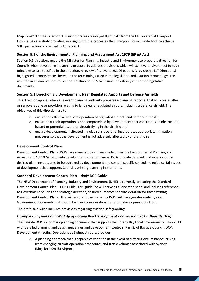Map KYS-010 of the Liverpool LEP incorporates a surveyed flight path from the HLS located at Liverpool Hospital. A case study providing an insight into the processes that Liverpool Council undertook to achieve SHLS protection is provided in Appendix 1.

### **Section 9.1 of the Environmental Planning and Assessment Act 1979 (EP&A Act)**

Section 9.1 directions enable the Minister for Planning, Industry and Environment to prepare a direction for Councils when developing a planning proposal to address provisions which will achieve or give effect to such principles as are specified in the direction. A review of relevant s9.1 Directions (previously s117 Directions) highlighted inconsistencies between the terminology used in the legislation and aviation terminology. This resulted in an amendment to Section 9.1 Direction 3.5 to ensure consistency with other legislative documents.

### **Section 9.1 Direction 3.5 Development Near Regulated Airports and Defence Airfields**

This direction applies when a relevant planning authority prepares a planning proposal that will create, alter or remove a zone or provision relating to land near a regulated airport, including a defence airfield. The objectives of this direction are to:

- $\circ$  ensure the effective and safe operation of regulated airports and defence airfields;
- o ensure that their operation is not compromised by development that constitutes an obstruction, hazard or potential hazard to aircraft flying in the vicinity; and
- $\circ$  ensure development, if situated in noise sensitive land, incorporates appropriate mitigation measures so that the development is not adversely affected by aircraft noise.

### **Development Control Plans**

Development Control Plans (DCPs) are non-statutory plans made under the Environmental Planning and Assessment Act 1979 that guide development in certain areas. DCPs provide detailed guidance about the desired planning outcome to be achieved by development and contain specific controls to guide certain types of development that supports Council's primary planning instruments.

### **Standard Development Control Plan – draft DCP Guide**

The NSW Department of Planning, Industry and Environment (DPIE) is currently preparing the Standard Development Control Plan – DCP Guide. This guideline will serve as a 'one stop shop' and includes references to Government policies and strategic direction/desired outcomes for consideration for those writing Development Control Plans. This will ensure those preparing DCPs will have greater visibility over Government documents that should be given consideration in drafting development controls.

The draft DCP Guide includes provisions regarding aviation safeguarding.

### *Example - Bayside Council's City of Botany Bay Development Control Plan 2013 (Bayside DCP)*

The Bayside DCP is a primary planning document that supports the Botany Bay Local Environmental Plan 2013 with detailed planning and design guidelines and development controls. Part 3J of Bayside Councils DCP, Development Affecting Operations at Sydney Airport, provides:

 $\circ$  A planning approach that is capable of variation in the event of differing circumstances arising from changing aircraft operation procedures and traffic volumes associated with Sydney (Kingsford Smith) Airport;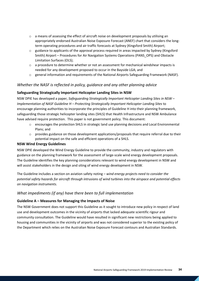- $\circ$  a means of assessing the effect of aircraft noise on development proposals by utilising an appropriately endorsed Australian Noise Exposure Forecast (ANEF) chart that considers the longterm operating procedures and air traffic forecasts at Sydney (Kingsford Smith) Airport;
- $\circ$  guidance to applicants of the approval process required in areas impacted by Sydney (Kingsford Smith) Airport – Procedures for Air Navigation Systems Operations (PANS\_OPS) and Obstacle Limitation Surfaces (OLS);
- $\circ$  a procedure to determine whether or not an assessment for mechanical windshear impacts is needed for any development proposed to occur in the Bayside LGA; and
- o general information and requirements of the National Airports Safeguarding Framework (NASF).

### *Whether the NASF is reflected in policy, guidance and any other planning advice*

### **Safeguarding Strategically Important Helicopter Landing Sites in NSW**

NSW DPIE has developed a paper, *Safeguarding Strategically Important Helicopter Landing Sites in NSW – Implementation of NASF Guideline H – Protecting Strategically Important Helicopter Landing Sites* to encourage planning authorities to incorporate the principles of Guideline H into their planning framework, safeguarding those strategic helicopter landing sites (SHLS) that Health Infrastructure and NSW Ambulance have advised require protection. This paper is not government policy. This document:

- o encourages the protection SHLS in strategic land use planning decisions and Local Environmental Plans; and
- o provides guidance on those development applications/proposals that require referral due to their potential impact on the safe and efficient operations of a SHLS.

### **NSW Wind Energy Guidelines**

NSW DPIE developed the Wind Energy Guideline to provide the community, industry and regulators with guidance on the planning framework for the assessment of large-scale wind energy development proposals. The Guideline identifies the key planning considerations relevant to wind energy development in NSW and will assist stakeholders in the design and siting of wind energy development in NSW.

The Guideline includes a section on aviation safety noting – *wind energy projects need to consider the potential safety hazards for aircraft through intrusions of wind turbines into the airspace and potential effects on navigation instruments.*

### *What impediments (if any) have there been to full implementation*

### **Guideline A – Measures for Managing the Impacts of Noise**

The NSW Government does not support this Guideline as it sought to introduce new policy in respect of land use and development outcomes in the vicinity of airports that lacked adequate scientific rigour and community consultation. The Guideline would have resulted in significant new restrictions being applied to housing and communities in the vicinity of airports and was not considered superior to the existing policy of the Department which relies on the Australian Noise Exposure Forecast contours and Australian Standards.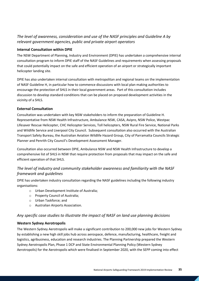### *The level of awareness, consideration and use of the NASF principles and Guideline A by relevant government agencies, public and private airport operators*

### **Internal Consultation within DPIE**

The NSW Department of Planning, Industry and Environment (DPIE) has undertaken a comprehensive internal consultation program to inform DPIE staff of the NASF Guidelines and requirements when assessing proposals that could potentially impact on the safe and efficient operation of an airport or strategically important helicopter landing site.

DPIE has also undertaken internal consultation with metropolitan and regional teams on the implementation of NASF Guideline H, in particular how to commence discussions with local plan making authorities to encourage the protection of SHLS in their local government areas. Part of this consultation includes discussion to develop standard conditions that can be placed on proposed development activities in the vicinity of a SHLS.

### **External Consultation**

Consultation was undertaken with key NSW stakeholders to inform the preparation of Guideline H. Representative from NSW Health Infrastructure, Ambulance NSW, CASA, Avipro, NSW Police, Westpac Lifesaver Rescue Helicopter, CHC Helicopter Services, Toll helicopters, NSW Rural Fire Service, National Parks and Wildlife Service and Liverpool City Council. Subsequent consultation also occurred with the Australian Transport Safety Bureau, the Australian Aviation Wildlife Hazard Group, City of Parramatta Councils Strategic Planner and Penrith City Council's Development Assessment Manager.

Consultation also occurred between DPIE, Ambulance NSW and NSW Health Infrastructure to develop a comprehensive list of SHLS in NSW that require protection from proposals that may impact on the safe and efficient operation of that SHLS.

## *The level of industry and community stakeholder awareness and familiarity with the NASF framework and guidelines*

DPIE has undertaken industry consultation regarding the NASF guidelines including the following industry organisations:

- o Urban Development Institute of Australia;
- o Property Council of Australia;
- o Urban Taskforce; and
- o Australian Airports Association.

### *Any specific case studies to illustrate the impact of NASF on land use planning decisions*

### **Western Sydney Aerotropolis**

The Western Sydney Aerotropolis will make a significant contribution to 200,000 new jobs for Western Sydney by establishing a new high skill jobs hub across aerospace, defence, manufacturing, healthcare, freight and logistics, agribusiness, education and research industries. The Planning Partnership prepared the Western Sydney Aerotropolis Plan, Phase 1 DCP and State Environmental Planning Policy (Western Sydney Aerotropolis) for the Aerotropolis which were finalised in September 2020, with the SEPP coming into effect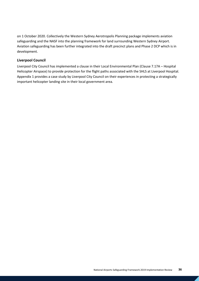on 1 October 2020. Collectively the Western Sydney Aerotropolis Planning package implements aviation safeguarding and the NASF into the planning framework for land surrounding Western Sydney Airport. Aviation safeguarding has been further integrated into the draft precinct plans and Phase 2 DCP which is in development.

### **Liverpool Council**

Liverpool City Council has implemented a clause in their Local Environmental Plan (Clause 7.17A – Hospital Helicopter Airspace) to provide protection for the flight paths associated with the SHLS at Liverpool Hospital. Appendix 1 provides a case study by Liverpool City Council on their experiences in protecting a strategically important helicopter landing site in their local government area.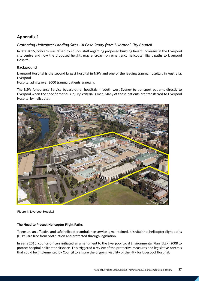## **Appendix 1**

### *Protecting Helicopter Landing Sites - A Case Study from Liverpool City Council*

In late 2015, concern was raised by council staff regarding proposed building height increases in the Liverpool city centre and how the proposed heights may encroach on emergency helicopter flight paths to Liverpool Hospital.

### **Background**

Liverpool Hospital is the second largest hospital in NSW and one of the leading trauma hospitals in Australia. Liverpool

Hospital admits over 3000 trauma patients annually.

The NSW Ambulance Service bypass other hospitals in south west Sydney to transport patients directly to Liverpool when the specific 'serious injury' criteria is met. Many of these patients are transferred to Liverpool Hospital by helicopter.



Figure 1: Liverpool Hospital

#### **The Need to Protect Helicopter Flight Paths**

To ensure an effective and safe helicopter ambulance service is maintained, it is vital that helicopter flight paths (HFPs) are free from obstruction and protected through legislation.

In early 2016, council officers initiated an amendment to the Liverpool Local Environmental Plan (LLEP) 2008 to protect hospital helicopter airspace. This triggered a review of the protective measures and legislative controls that could be implemented by Council to ensure the ongoing viability of the HFP for Liverpool Hospital.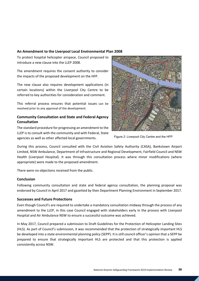### **An Amendment to the Liverpool Local Environmental Plan 2008**

To protect hospital helicopter airspace, Council proposed to introduce a new clause into the LLEP 2008.

The amendment requires the consent authority to consider the impacts of the proposed development on the HFP.

The new clause also requires development applications (in certain locations) within the Liverpool City Centre to be referred to key authorities for consideration and comment.

This referral process ensures that potential issues can be resolved prior to any approval of the development.

### **Community Consultation and State and Federal Agency Consultation**

The standard procedure for progressing an amendment to the LLEP is to consult with the community and with Federal, State agencies as well as other affected local governments.



Figure 2: Liverpool City Centre and the HFP

During this process, Council consulted with the Civil Aviation Safety Authority (CASA), Bankstown Airport Limited, NSW Ambulance, Department of Infrastructure and Regional Development, Fairfield Council and NSW Health (Liverpool Hospital). It was through this consultation process where minor modifications (where appropriate) were made to the proposed amendment.

There were no objections received from the public.

### **Conclusion**

Following community consultation and state and federal agency consultation, the planning proposal was endorsed by Council in April 2017 and gazetted by then Department Planning Environment in September 2017.

#### **Successes and Future Protections**

Even though Council's are required to undertake a mandatory consultation midway through the process of any amendment to the LLEP, in this case Council engaged with stakeholders early in the process with Liverpool Hospital and Air Ambulance NSW to ensure a successful outcome was achieved.

In May 2017, Council prepared a submission to Draft Guidelines for the Protection of Helicopter Landing Sites (HLS). As part of Council's submission, it was recommended that the protection of strategically important HLS be developed into a state environmental planning policy (SEPP). It is still council officer's opinion that a SEPP be prepared to ensure that strategically important HLS are protected and that this protection is applied consistently across NSW.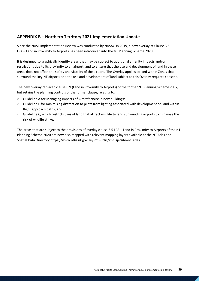### <span id="page-38-0"></span>**APPENDIX B – Northern Territory 2021 Implementation Update**

Since the NASF Implementation Review was conducted by NASAG in 2019, a new overlay at Clause 3.5 LPA – Land in Proximity to Airports has been introduced into the NT Planning Scheme 2020.

It is designed to graphically identify areas that may be subject to additional amenity impacts and/or restrictions due to its proximity to an airport, and to ensure that the use and development of land in these areas does not affect the safety and viability of the airport. The Overlay applies to land within Zones that surround the key NT airports and the use and development of land subject to this Overlay requires consent.

The new overlay replaced clause 6.9 (Land in Proximity to Airports) of the former NT Planning Scheme 2007, but retains the planning controls of the former clause, relating to:

- o Guideline A for Managing Impacts of Aircraft Noise in new buildings;
- $\circ$  Guideline E for minimising distraction to pilots from lighting associated with development on land within flight approach paths; and
- o Guideline C, which restricts uses of land that attract wildlife to land surrounding airports to minimise the risk of wildlife strike.

The areas that are subject to the provisions of overlay clause 3.5 LPA – Land in Proximity to Airports of the NT Planning Scheme 2020 are now also mapped with relevant mapping layers available at the NT Atlas and Spatial Data Directory https://www.ntlis.nt.gov.au/imfPublic/imf.jsp?site=nt\_atlas.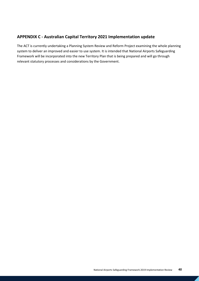## <span id="page-39-0"></span>**APPENDIX C - Australian Capital Territory 2021 Implementation update**

The ACT is currently undertaking a Planning System Review and Reform Project examining the whole planning system to deliver an improved and easier to use system. It is intended that National Airports Safeguarding Framework will be incorporated into the new Territory Plan that is being prepared and will go through relevant statutory processes and considerations by the Government.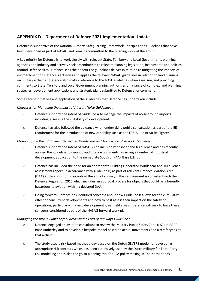## <span id="page-40-0"></span>**APPENDIX D – Department of Defence 2021 Implementation Update**

Defence is supportive of the National Airports Safeguarding Framework Principles and Guidelines that have been developed as part of NASAG and remains committed to the ongoing work of the group.

A key priority for Defence is to work closely with relevant State, Territory and Local Governments planning agencies and industry and actively seek amendments to relevant planning legislation, instruments and policies around Defence sites. Defence sees the benefit the guidelines deliver in relation to mitigating the impacts of encroachment on Defence's activities and applies the relevant NASAG guidelines in relation to land planning on military airfields. Defence also makes reference to the NASF guidelines when assessing and providing comments to State, Territory and Local Government planning authorities on a range of complex land planning strategies, development applications and strategic plans submitted to Defence for comment.

Some recent initiatives and application of the guidelines that Defence has undertaken include:

### *Measures for Managing the Impact of Aircraft Noise Guideline A*

- o Defence supports the intent of Guideline A to manage the impacts of noise around airports including assessing the suitability of developments.
- o Defence has also followed the guidance when undertaking public consultation as part of the EIS requirement for the introduction of new capability such as the F35-A – Joint Strike Fighter.

### *Managing the Risk of Building Generated Windshear and Turbulence at Airports Guideline B*

- o Defence supports the intent of NASF Guideline B on windshear and turbulence and has recently applied the guideline to develop and provide comments regarding a number of industrial development application to the immediate South of RAAF Base Edinburgh.
- o Defence has included the need for an appropriate Building Generated Windshear and Turbulence assessment report (in accordance with guideline B) as part of relevant Defence Aviation Area (DAA) applications for proposals at the end of runways. This requirement is consistent with the Defence Regulation 2016 which includes an approval process for objects that could be inherently hazardous to aviation within a declared DAA.
- o Going forward, Defence has identified concerns about how Guideline B allows for the cumulative effect of concurrent developments and how to best assess their impact on the safety of operations, particularly in a new development greenfield areas. Defence will seek to have these concerns considered as part of the NASAG forward work plan.

#### *Managing the Risk in Public Safety Areas at the Ends of Runways Guideline I*

- o Defence engaged an aviation consultant to review the Military Public Safety Zone (PSZ) at RAAF Base Amberley and to develop a bespoke model based on actual movements and aircraft types at that airfield.
- o The study used a risk based methodology based on the Dutch GEVERS model for developing appropriate risk contours which has been extensively used by the Dutch military for Third-Party risk modelling and is also the go-to planning tool for PSA policy making in The Netherlands.